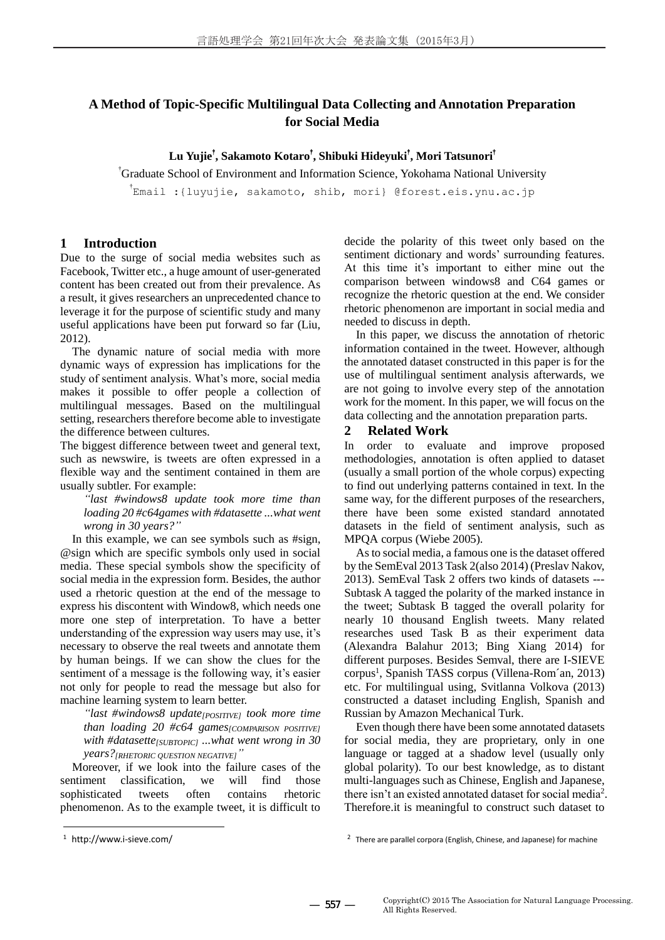## **A Method of Topic-Specific Multilingual Data Collecting and Annotation Preparation for Social Media**

**Lu Yujie**† **, Sakamoto Kotaro**† **, Shibuki Hideyuki**† **, Mori Tatsunori**†

†Graduate School of Environment and Information Science, Yokohama National University

† Email :{luyujie, sakamoto, shib, mori} @forest.eis.ynu.ac.jp

## **1 Introduction**

Due to the surge of social media websites such as Facebook, Twitter etc., a huge amount of user-generated content has been created out from their prevalence. As a result, it gives researchers an unprecedented chance to leverage it for the purpose of scientific study and many useful applications have been put forward so far (Liu, 2012).

The dynamic nature of social media with more dynamic ways of expression has implications for the study of sentiment analysis. What's more, social media makes it possible to offer people a collection of multilingual messages. Based on the multilingual setting, researchers therefore become able to investigate the difference between cultures.

The biggest difference between tweet and general text, such as newswire, is tweets are often expressed in a flexible way and the sentiment contained in them are usually subtler. For example:

*"last #windows8 update took more time than loading 20 #c64games with #datasette ...what went wrong in 30 years?"*

In this example, we can see symbols such as #sign, @sign which are specific symbols only used in social media. These special symbols show the specificity of social media in the expression form. Besides, the author used a rhetoric question at the end of the message to express his discontent with Window8, which needs one more one step of interpretation. To have a better understanding of the expression way users may use, it's necessary to observe the real tweets and annotate them by human beings. If we can show the clues for the sentiment of a message is the following way, it's easier not only for people to read the message but also for machine learning system to learn better.

*"last #windows8 update[POSITIVE] took more time than loading 20 #c64 games[COMPARISON POSITIVE] with #datasette[SUBTOPIC] ...what went wrong in 30 years?[RHETORIC QUESTION NEGATIVE]"*

Moreover, if we look into the failure cases of the sentiment classification, we will find those sophisticated tweets often contains rhetoric phenomenon. As to the example tweet, it is difficult to decide the polarity of this tweet only based on the sentiment dictionary and words' surrounding features. At this time it's important to either mine out the comparison between windows8 and C64 games or recognize the rhetoric question at the end. We consider rhetoric phenomenon are important in social media and needed to discuss in depth.

In this paper, we discuss the annotation of rhetoric information contained in the tweet. However, although the annotated dataset constructed in this paper is for the use of multilingual sentiment analysis afterwards, we are not going to involve every step of the annotation work for the moment. In this paper, we will focus on the data collecting and the annotation preparation parts.

## **2 Related Work**

In order to evaluate and improve proposed methodologies, annotation is often applied to dataset (usually a small portion of the whole corpus) expecting to find out underlying patterns contained in text. In the same way, for the different purposes of the researchers, there have been some existed standard annotated datasets in the field of sentiment analysis, such as MPQA corpus (Wiebe 2005).

Asto social media, a famous one is the dataset offered by the SemEval 2013 Task 2(also 2014) (Preslav Nakov, 2013). SemEval Task 2 offers two kinds of datasets --- Subtask A tagged the polarity of the marked instance in the tweet; Subtask B tagged the overall polarity for nearly 10 thousand English tweets. Many related researches used Task B as their experiment data (Alexandra Balahur 2013; Bing Xiang 2014) for different purposes. Besides Semval, there are I-SIEVE corpus<sup>1</sup>, Spanish TASS corpus (Villena-Rom án, 2013) etc. For multilingual using, Svitlanna Volkova (2013) constructed a dataset including English, Spanish and Russian by Amazon Mechanical Turk.

Even though there have been some annotated datasets for social media, they are proprietary, only in one language or tagged at a shadow level (usually only global polarity). To our best knowledge, as to distant multi-languages such as Chinese, English and Japanese, there isn't an existed annotated dataset for social media<sup>2</sup>. Therefore.it is meaningful to construct such dataset to

-

<sup>1</sup> http://www.i-sieve.com/

<sup>&</sup>lt;sup>2</sup> There are parallel corpora (English, Chinese, and Japanese) for machine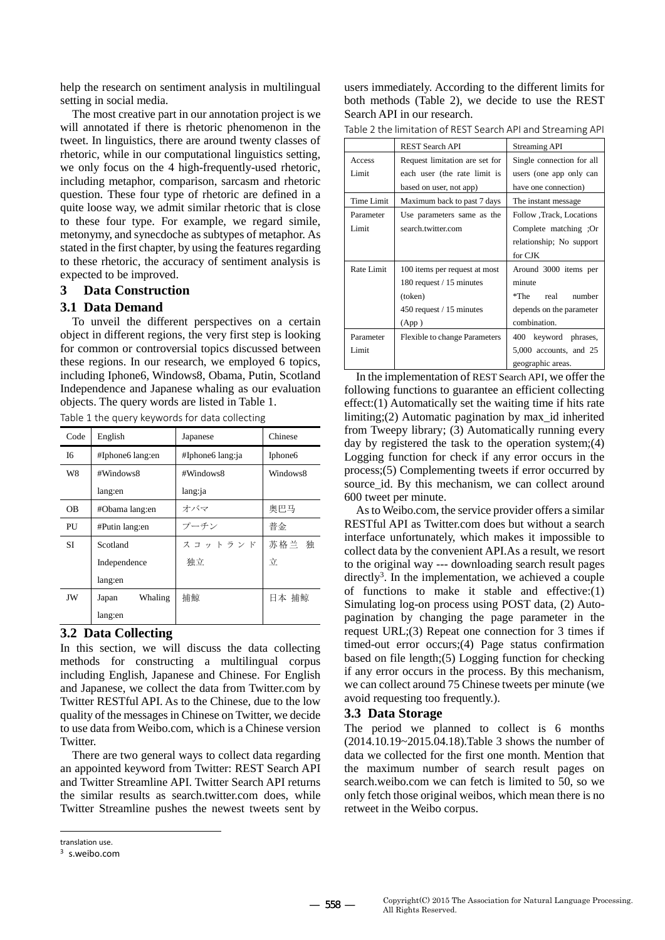help the research on sentiment analysis in multilingual setting in social media.

The most creative part in our annotation project is we will annotated if there is rhetoric phenomenon in the tweet. In linguistics, there are around twenty classes of rhetoric, while in our computational linguistics setting, we only focus on the 4 high-frequently-used rhetoric, including metaphor, comparison, sarcasm and rhetoric question. These four type of rhetoric are defined in a quite loose way, we admit similar rhetoric that is close to these four type. For example, we regard simile, metonymy, and synecdoche as subtypes of metaphor. As stated in the first chapter, by using the features regarding to these rhetoric, the accuracy of sentiment analysis is expected to be improved.

## **3 Data Construction**

#### **3.1 Data Demand**

To unveil the different perspectives on a certain object in different regions, the very first step is looking for common or controversial topics discussed between these regions. In our research, we employed 6 topics, including Iphone6, Windows8, Obama, Putin, Scotland Independence and Japanese whaling as our evaluation objects. The query words are listed in Table 1.

| Code      | English          | Japanese         | Chinese  |  |
|-----------|------------------|------------------|----------|--|
| 16        | #Iphone6 lang:en | #Iphone6 lang:ja | Iphone6  |  |
| W8        | #Windows8        | #Windows8        | Windows8 |  |
|           | lang:en          | lang:ja          |          |  |
| OВ        | #Obama lang:en   | オバマ              | 奥巴马      |  |
| PU        | #Putin lang:en   | プーチン             | 普金       |  |
| <b>SI</b> | Scotland         | スコットランド          | 苏格兰 独    |  |
|           | Independence     | 独立               | 立        |  |
|           | lang:en          |                  |          |  |
| JW        | Whaling<br>Japan | 捕鯨               | 日本 捕鲸    |  |
|           | lang:en          |                  |          |  |

Table 1 the query keywords for data collecting

#### **3.2 Data Collecting**

In this section, we will discuss the data collecting methods for constructing a multilingual corpus including English, Japanese and Chinese. For English and Japanese, we collect the data from Twitter.com by Twitter RESTful API. As to the Chinese, due to the low quality of the messages in Chinese on Twitter, we decide to use data from Weibo.com, which is a Chinese version Twitter.

There are two general ways to collect data regarding an appointed keyword from Twitter: REST Search API and Twitter Streamline API. Twitter Search API returns the similar results as search.twitter.com does, while Twitter Streamline pushes the newest tweets sent by

-

users immediately. According to the different limits for both methods (Table 2), we decide to use the REST Search API in our research.

|  | Table 2 the limitation of REST Search API and Streaming API |
|--|-------------------------------------------------------------|
|--|-------------------------------------------------------------|

|            | <b>REST Search API</b>               | <b>Streaming API</b>      |
|------------|--------------------------------------|---------------------------|
| Access     | Request limitation are set for       | Single connection for all |
| Limit      | each user (the rate limit is         | users (one app only can   |
|            | based on user, not app)              | have one connection)      |
| Time Limit | Maximum back to past 7 days          | The instant message       |
| Parameter  | Use parameters same as the           | Follow , Track, Locations |
| Limit      | search.twitter.com                   | Complete matching ;Or     |
|            |                                      | relationship; No support  |
|            |                                      | for CJK                   |
| Rate Limit | 100 items per request at most        | Around 3000 items per     |
|            | 180 request / 15 minutes             | minute                    |
|            | (token)                              | $*$ The<br>real<br>number |
|            | 450 request / 15 minutes             | depends on the parameter  |
|            | (App)                                | combination.              |
| Parameter  | <b>Flexible to change Parameters</b> | 400<br>keyword phrases,   |
| Limit      |                                      | 5,000 accounts, and 25    |
|            |                                      | geographic areas.         |

In the implementation of REST Search API, we offer the following functions to guarantee an efficient collecting effect:(1) Automatically set the waiting time if hits rate limiting;(2) Automatic pagination by max\_id inherited from Tweepy library; (3) Automatically running every day by registered the task to the operation system;(4) Logging function for check if any error occurs in the process;(5) Complementing tweets if error occurred by source id. By this mechanism, we can collect around 600 tweet per minute.

As to Weibo.com, the service provider offers a similar RESTful API as Twitter.com does but without a search interface unfortunately, which makes it impossible to collect data by the convenient API.As a result, we resort to the original way --- downloading search result pages directly<sup>3</sup>. In the implementation, we achieved a couple of functions to make it stable and effective:(1) Simulating log-on process using POST data, (2) Autopagination by changing the page parameter in the request URL;(3) Repeat one connection for 3 times if timed-out error occurs;(4) Page status confirmation based on file length;(5) Logging function for checking if any error occurs in the process. By this mechanism, we can collect around 75 Chinese tweets per minute (we avoid requesting too frequently.).

## **3.3 Data Storage**

The period we planned to collect is 6 months (2014.10.19~2015.04.18).Table 3 shows the number of data we collected for the first one month. Mention that the maximum number of search result pages on search.weibo.com we can fetch is limited to 50, so we only fetch those original weibos, which mean there is no retweet in the Weibo corpus.

translation use.

<sup>3</sup> s.weibo.com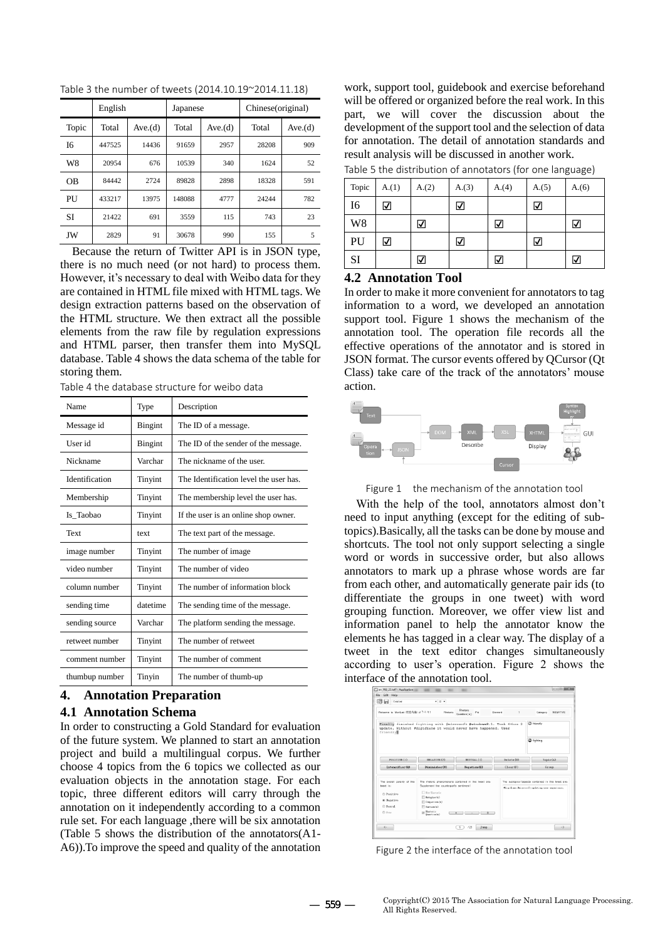|                | English |         | Japanese |         | Chinese(original) |         |
|----------------|---------|---------|----------|---------|-------------------|---------|
| Topic          | Total   | Ave.(d) | Total    | Ave.(d) | Total             | Ave.(d) |
| I6             | 447525  | 14436   | 91659    | 2957    | 28208             | 909     |
| W8             | 20954   | 676     | 10539    | 340     | 1624              | 52      |
| 0 <sub>B</sub> | 84442   | 2724    | 89828    | 2898    | 18328             | 591     |
| PU             | 433217  | 13975   | 148088   | 4777    | 24244             | 782     |
| SI             | 21422   | 691     | 3559     | 115     | 743               | 23      |
| JW             | 2829    | 91      | 30678    | 990     | 155               | 5       |

Table 3 the number of tweets (2014.10.19~2014.11.18)

Because the return of Twitter API is in JSON type, there is no much need (or not hard) to process them. However, it's necessary to deal with Weibo data for they are contained in HTML file mixed with HTML tags. We design extraction patterns based on the observation of the HTML structure. We then extract all the possible elements from the raw file by regulation expressions and HTML parser, then transfer them into MySQL database. Table 4 shows the data schema of the table for storing them.

Table 4 the database structure for weibo data

| Name           | Type           | Description                           |
|----------------|----------------|---------------------------------------|
| Message id     | <b>Bingint</b> | The ID of a message.                  |
| User id        | <b>Bingint</b> | The ID of the sender of the message.  |
| Nickname       | Varchar        | The nickname of the user.             |
| Identification | Tinyint        | The Identification level the user has |
| Membership     | Tinyint        | The membership level the user has.    |
| Is_Taobao      | Tinyint        | If the user is an online shop owner.  |
| Text           | text           | The text part of the message.         |
| image number   | Tinyint        | The number of image.                  |
| video number   | Tinyint        | The number of video                   |
| column number  | Tinyint        | The number of information block       |
| sending time   | datetime       | The sending time of the message.      |
| sending source | Varchar        | The platform sending the message.     |
| retweet number | Tinyint        | The number of retweet                 |
| comment number | Tinyint        | The number of comment                 |
| thumbup number | Tinyin         | The number of thumb-up                |

# **4. Annotation Preparation**

## **4.1 Annotation Schema**

In order to constructing a Gold Standard for evaluation of the future system. We planned to start an annotation project and build a multilingual corpus. We further choose 4 topics from the 6 topics we collected as our evaluation objects in the annotation stage. For each topic, three different editors will carry through the annotation on it independently according to a common rule set. For each language ,there will be six annotation (Table 5 shows the distribution of the annotators(A1- A6)).To improve the speed and quality of the annotation

work, support tool, guidebook and exercise beforehand will be offered or organized before the real work. In this part, we will cover the discussion about the development of the support tool and the selection of data for annotation. The detail of annotation standards and result analysis will be discussed in another work.

| Topic          | A(1) | A(2) | A(3) | A(4) | A(5) | A(6) |
|----------------|------|------|------|------|------|------|
| I6             | √    |      | ☑    |      | ☑    |      |
| W <sub>8</sub> |      | ☑    |      | √    |      | ⊽    |
| PU             | √    |      | ☑    |      | ☑    |      |
| SI             |      | ⊽    |      | ☑    |      | ⋁    |

## **4.2 Annotation Tool**

In order to make it more convenient for annotators to tag information to a word, we developed an annotation support tool. Figure 1 shows the mechanism of the annotation tool. The operation file records all the effective operations of the annotator and is stored in JSON format. The cursor events offered by QCursor (Qt Class) take care of the track of the annotators' mouse action.



Figure 1 the mechanism of the annotation tool

With the help of the tool, annotators almost don't need to input anything (except for the editing of subtopics).Basically, all the tasks can be done by mouse and shortcuts. The tool not only support selecting a single word or words in successive order, but also allows annotators to mark up a phrase whose words are far from each other, and automatically generate pair ids (to differentiate the groups in one tweet) with word grouping function. Moreover, we offer view list and information panel to help the annotator know the elements he has tagged in a clear way. The display of a tweet in the text editor changes simultaneously according to user's operation. Figure 2 shows the interface of the annotation tool.

| 問目<br>Courier                                    | $= 12 - 1$                                                                                                                           |                                        |           |                                                    |
|--------------------------------------------------|--------------------------------------------------------------------------------------------------------------------------------------|----------------------------------------|-----------|----------------------------------------------------|
| Welcome to MonLab   空節充临   ようこそ!                 | <b>Rhetoric</b>                                                                                                                      | <b>Photosis</b><br>Pid<br>Question (e) | Element   | <b>NEGATIVE</b><br>Category                        |
| friendly                                         | Finally finished fighting with @microsoft #windows8.1. Took 4+hrs 2<br>update. Without #digidiane it would never have happened. User |                                        |           | <b>C</b> friendly                                  |
|                                                  |                                                                                                                                      |                                        |           | G fighting                                         |
| FOSITIVE (1)                                     | HEGATIVE (2)                                                                                                                         | HEILTRAL (3)                           | Delete(D) | Topic(A)                                           |
| Intensifier (Q)                                  | Dininisher (W)                                                                                                                       | Negation(E)                            | ClenE(F)  | Group.                                             |
| The overall polarity of this                     | The rhetoric phenomenons contained in this tweet are-                                                                                |                                        |           | The subtrolos/aspects contained in this tweet are- |
| tweet in-                                        | Supplement the counterpart's sentiment!<br>El Roc-Batorie<br>$\Box$ Botapher (a)<br>Consumings (s)                                   |                                        |           | #digidians:@nicrossft:updating:user experience:    |
| @ Positive<br>@ Negative<br>C Kentral<br>C) Kenn | $\mathbb{H}$ Survaya(a)<br><b>Meterie</b><br>Openhands)                                                                              | $ -$<br>$+$                            |           |                                                    |

Figure 2 the interface of the annotation tool